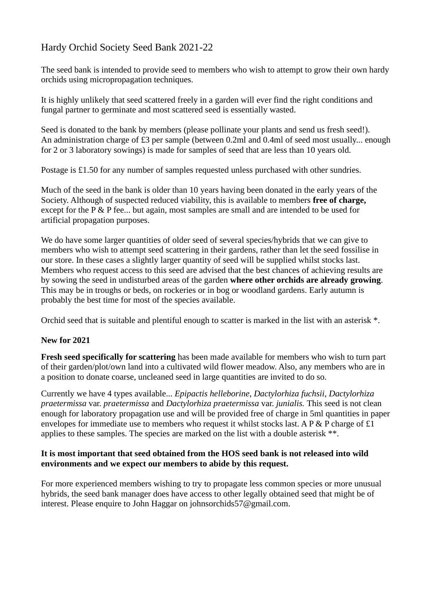## Hardy Orchid Society Seed Bank 2021-22

The seed bank is intended to provide seed to members who wish to attempt to grow their own hardy orchids using micropropagation techniques.

It is highly unlikely that seed scattered freely in a garden will ever find the right conditions and fungal partner to germinate and most scattered seed is essentially wasted.

Seed is donated to the bank by members (please pollinate your plants and send us fresh seed!). An administration charge of £3 per sample (between 0.2ml and 0.4ml of seed most usually... enough for 2 or 3 laboratory sowings) is made for samples of seed that are less than 10 years old.

Postage is £1.50 for any number of samples requested unless purchased with other sundries.

Much of the seed in the bank is older than 10 years having been donated in the early years of the Society. Although of suspected reduced viability, this is available to members **free of charge,** except for the P & P fee... but again, most samples are small and are intended to be used for artificial propagation purposes.

We do have some larger quantities of older seed of several species/hybrids that we can give to members who wish to attempt seed scattering in their gardens, rather than let the seed fossilise in our store. In these cases a slightly larger quantity of seed will be supplied whilst stocks last. Members who request access to this seed are advised that the best chances of achieving results are by sowing the seed in undisturbed areas of the garden **where other orchids are already growing**. This may be in troughs or beds, on rockeries or in bog or woodland gardens. Early autumn is probably the best time for most of the species available.

Orchid seed that is suitable and plentiful enough to scatter is marked in the list with an asterisk \*.

## **New for 2021**

**Fresh seed specifically for scattering** has been made available for members who wish to turn part of their garden/plot/own land into a cultivated wild flower meadow. Also, any members who are in a position to donate coarse, uncleaned seed in large quantities are invited to do so.

Currently we have 4 types available... *Epipactis helleborine*, *Dactylorhiza fuchsii*, *Dactylorhiza praetermissa* var. *praetermissa* and *Dactylorhiza praetermissa* var. *junialis.* This seed is not clean enough for laboratory propagation use and will be provided free of charge in 5ml quantities in paper envelopes for immediate use to members who request it whilst stocks last. A  $P \& P$  charge of £1 applies to these samples. The species are marked on the list with a double asterisk \*\*.

## **It is most important that seed obtained from the HOS seed bank is not released into wild environments and we expect our members to abide by this request.**

For more experienced members wishing to try to propagate less common species or more unusual hybrids, the seed bank manager does have access to other legally obtained seed that might be of interest. Please enquire to John Haggar on johnsorchids57@gmail.com.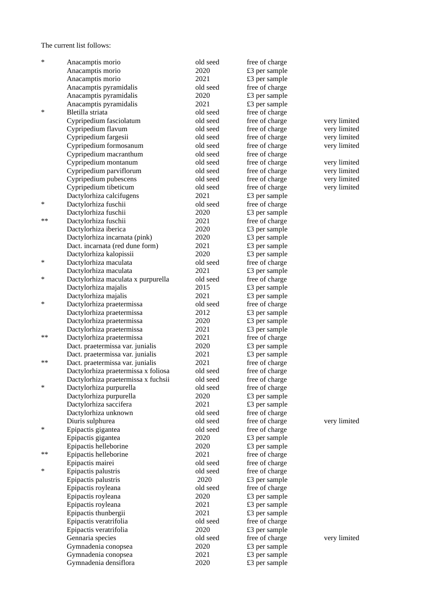The current list follows:

| $\ast$ | Anacamptis morio                    | old seed | free of charge |              |
|--------|-------------------------------------|----------|----------------|--------------|
|        | Anacamptis morio                    | 2020     | £3 per sample  |              |
|        | Anacamptis morio                    | 2021     | £3 per sample  |              |
|        | Anacamptis pyramidalis              | old seed | free of charge |              |
|        | Anacamptis pyramidalis              | 2020     | £3 per sample  |              |
|        | Anacamptis pyramidalis              | 2021     | £3 per sample  |              |
| ∗      | Bletilla striata                    | old seed | free of charge |              |
|        | Cypripedium fasciolatum             | old seed | free of charge | very limited |
|        | Cypripedium flavum                  | old seed | free of charge | very limited |
|        | Cypripedium fargesii                | old seed | free of charge | very limited |
|        | Cypripedium formosanum              | old seed | free of charge | very limited |
|        | Cypripedium macranthum              | old seed | free of charge |              |
|        | Cypripedium montanum                | old seed | free of charge | very limited |
|        | Cypripedium parviflorum             | old seed | free of charge | very limited |
|        | Cypripedium pubescens               | old seed | free of charge | very limited |
|        | Cypripedium tibeticum               | old seed | free of charge | very limited |
|        | Dactylorhiza calcifugens            | 2021     | £3 per sample  |              |
| ∗      | Dactylorhiza fuschii                | old seed | free of charge |              |
|        | Dactylorhiza fuschii                | 2020     | £3 per sample  |              |
| **     | Dactylorhiza fuschii                | 2021     | free of charge |              |
|        | Dactylorhiza iberica                | 2020     | £3 per sample  |              |
|        | Dactylorhiza incarnata (pink)       | 2020     | £3 per sample  |              |
|        | Dact. incarnata (red dune form)     | 2021     | £3 per sample  |              |
|        | Dactylorhiza kalopissii             | 2020     | £3 per sample  |              |
| ∗      | Dactylorhiza maculata               | old seed | free of charge |              |
|        | Dactylorhiza maculata               | 2021     | £3 per sample  |              |
| ∗      | Dactylorhiza maculata x purpurella  | old seed | free of charge |              |
|        | Dactylorhiza majalis                | 2015     | £3 per sample  |              |
|        | Dactylorhiza majalis                | 2021     | £3 per sample  |              |
| ∗      | Dactylorhiza praetermissa           | old seed | free of charge |              |
|        | Dactylorhiza praetermissa           | 2012     | £3 per sample  |              |
|        | Dactylorhiza praetermissa           | 2020     | £3 per sample  |              |
|        | Dactylorhiza praetermissa           | 2021     | £3 per sample  |              |
| **     | Dactylorhiza praetermissa           | 2021     | free of charge |              |
|        | Dact. praetermissa var. junialis    | 2020     | £3 per sample  |              |
|        | Dact. praetermissa var. junialis    | 2021     | £3 per sample  |              |
| **     | Dact. praetermissa var. junialis    | 2021     | free of charge |              |
|        | Dactylorhiza praetermissa x foliosa | old seed | free of charge |              |
|        | Dactylorhiza praetermissa x fuchsii | old seed | free of charge |              |
| ∗      | Dactylorhiza purpurella             | old seed | free of charge |              |
|        | Dactylorhiza purpurella             | 2020     | £3 per sample  |              |
|        | Dactylorhiza saccifera              | 2021     | £3 per sample  |              |
|        | Dactylorhiza unknown                | old seed | free of charge |              |
|        | Diuris sulphurea                    | old seed | free of charge | very limited |
| ∗      | Epipactis gigantea                  | old seed | free of charge |              |
|        | Epipactis gigantea                  | 2020     | £3 per sample  |              |
|        | Epipactis helleborine               | 2020     | £3 per sample  |              |
| **     | Epipactis helleborine               | 2021     | free of charge |              |
| ∗      | Epipactis mairei                    | old seed | free of charge |              |
|        | Epipactis palustris                 | old seed | free of charge |              |
|        | Epipactis palustris                 | 2020     | £3 per sample  |              |
|        | Epipactis royleana                  | old seed | free of charge |              |
|        | Epipactis royleana                  | 2020     | £3 per sample  |              |
|        | Epipactis royleana                  | 2021     | £3 per sample  |              |
|        | Epipactis thunbergii                | 2021     | £3 per sample  |              |
|        | Epipactis veratrifolia              | old seed | free of charge |              |
|        | Epipactis veratrifolia              | 2020     | £3 per sample  |              |
|        | Gennaria species                    | old seed | free of charge | very limited |
|        | Gymnadenia conopsea                 | 2020     | £3 per sample  |              |
|        | Gymnadenia conopsea                 | 2021     | £3 per sample  |              |
|        | Gymnadenia densiflora               | 2020     | £3 per sample  |              |